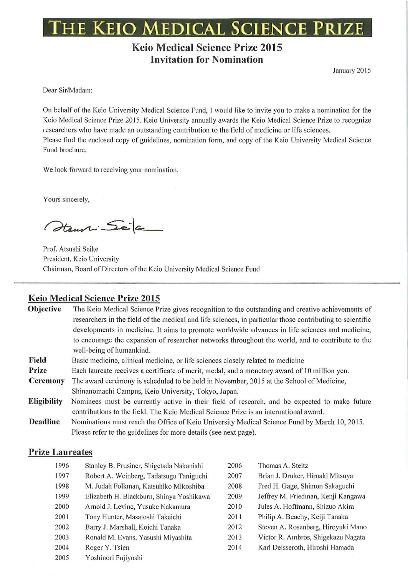## **THE KEIO MEDICAL SCIENCE PruZE**

## **Keio Medical Science Prize 2015 Invitation for Nomination**

January 2015

Dear Sir/Madam:

On behalf of the Keio University Medical Science Fund, I would like to invite you to make a nomination for the Keio Medical Science Prize 2015. Keio University annually awards the Keio Medical Science Prize to recognize researchers who have made an outstanding contribution to the field of medicine or life sciences. Please find the enclosed copy of guidelines, nomination form, and copy of the Keio University Medical Science Fund brochure.

We look forward to receiving your nomination.

Yours sincerely,

Haussi Seja

Prof. Atsushi Seike President, Keio University Chairman, Board of Directors of the Keio University Medical Science Fund

#### **Keio Medical Science Prize 2015**

| Objective       | The Keio Medical Science Prize gives recognition to the outstanding and creative achievements of<br>researchers in the field of the medical and life sciences, in particular those contributing to scientific |  |  |  |
|-----------------|---------------------------------------------------------------------------------------------------------------------------------------------------------------------------------------------------------------|--|--|--|
|                 | developments in medicine. It aims to promote worldwide advances in life sciences and medicine,                                                                                                                |  |  |  |
|                 | to encourage the expansion of researcher networks throughout the world, and to contribute to the                                                                                                              |  |  |  |
|                 | well-being of humankind.                                                                                                                                                                                      |  |  |  |
| Field           | Basic medicine, clinical medicine, or life sciences closely related to medicine                                                                                                                               |  |  |  |
| Prize           | Each laureate receives a certificate of merit, medal, and a monetary award of 10 million yen.                                                                                                                 |  |  |  |
| <b>Ceremony</b> | The award ceremony is scheduled to be held in November, 2015 at the School of Medicine,                                                                                                                       |  |  |  |
|                 | Shinanomachi Campus, Keio University, Tokyo, Japan.                                                                                                                                                           |  |  |  |
| Eligibility     | Nominees must be currently active in their field of research, and be expected to make future                                                                                                                  |  |  |  |
|                 | contributions to the field. The Keio Medical Science Prize is an international award.                                                                                                                         |  |  |  |
| <b>Deadline</b> | Nominations must reach the Office of Keio University Medical Science Fund by March 10, 2015.                                                                                                                  |  |  |  |
|                 | Please refer to the guidelines for more details (see next page).                                                                                                                                              |  |  |  |

#### **Prize Laureates**

| 1996 | Stanley B. Prusiner, Shigetada Nakanishi | 2006 | Thomas A. Steitz                   |
|------|------------------------------------------|------|------------------------------------|
| 1997 | Robert A. Weinberg, Tadatsugu Taniguchi  | 2007 | Brian J. Druker, Hiroaki Mitsuya   |
| 1998 | M. Judah Folkman, Katsuhiko Mikoshiba    | 2008 | Fred H. Gage, Shimon Sakaguchi     |
| 1999 | Elizabeth H. Blackburn, Shinya Yoshikawa | 2009 | Jeffrey M. Friedman, Kenji Kangawa |
| 2000 | Arnold J. Levine, Yusuke Nakamura        | 2010 | Jules A. Hoffmann, Shizuo Akira    |
| 2001 | Tony Hunter, Masatoshi Takeichi          | 2011 | Philip A. Beachy, Keiji Tanaka     |
| 2002 | Barry J. Marshall, Koichi Tanaka         | 2012 | Steven A. Rosenberg, Hiroyuki Mano |
| 2003 | Ronald M. Evans, Yasushi Miyashita       | 2013 | Victor R. Ambros, Shigekazu Nagata |
| 2004 | Roger Y. Tsien                           | 2014 | Karl Deisseroth, Hiroshi Hamada    |
| 2005 | Yoshinori Fujiyoshi                      |      |                                    |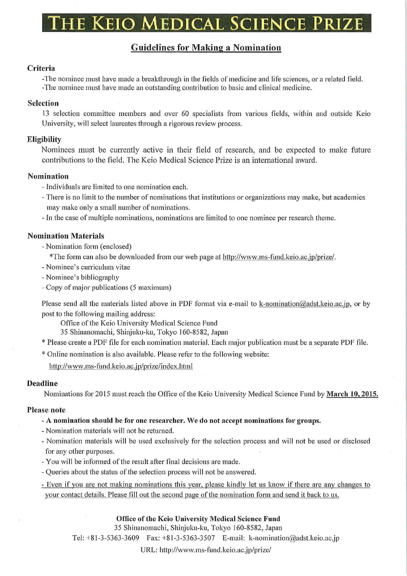# he Keio Medical Science Prize

### Guidelines for Making a Nomination

#### Criteria

-The nominee must have made a breakthrough in the fields of medicine and life sciences, or a related field. -The nominee must have made an outstanding contribution to basic and clinical medicine.

#### Selection

13 selection committee members and over 60 specialists from various fields, within and outside Keio University, will select laureates through a rigorous review process.

#### **Eligibility**

Nominees must be currently active in their field of research, and be expected to make future contributions to the field. The Keio Medical Science Prize is an international award.

#### Nomination

- -Individuals are limited to one nomination each.
- -There is no limit to the number of nominations that institutions or organizations may make, but academies may make only a small number of nominations.

-In the case of multiple nominations, nominations are limited to one nominee per research theme.

#### Nomination Materials

- Nomination form (enclosed)

\*The form can also be downloaded from our web page at http://www.ms-fund.keio.ac.jp/prize/.

- -Nominee's curriculum vitae
- -Nominee's bibliography
- Copy of major publications (5 maximum)

Please send all the materials listed above in PDF format via e-mail to k-nomination@adst.keio.ac.jp, or by post to the following mailing address:

Office of the Keio University Medical Science Fund

35 Shinanomachi, Shinjuku-ku, Tokyo 160-8582, Japan

\* Please create a PDF file for each nomination material. Each major publication must be a separate PDF file.

\*Online nomination is a lso available. Please refer to the following website:

http://www.ms-fund.keio.ac. jp/prize/index.html

#### Deadline

Nominations for 2015 must reach the Office of the Keio University Medical Science Fund by March 10, 2015.

#### Please note

- A nomination should be for one researcher. We do not accept nominations for groups.
- -Nomination materials will not be returned.
- Nomination materials will be used exclusively for the selection process and will not be used or disclosed for any other purposes.
- You will be informed of the result after final decisions are made.
- -Queries about the status of the selection process will not be answered.

- Even if you are not making nominations this year, please kindly let us know if there are any changes to your contact details. Please fill out the second page of the nomination form and send it back to us.

#### Office of the Keio University Medical Science Fund

35 Shinanomachi, Shinjuku-ku, Tokyo 160-8582, Japan

Tel: +8 1-3-5363-3609 Fax: +81 -3-5363-3507 E-mail: k-nomination@adst.keio.ac.jp

URL: http://www.ms-fund .keio.ac.jp/prize/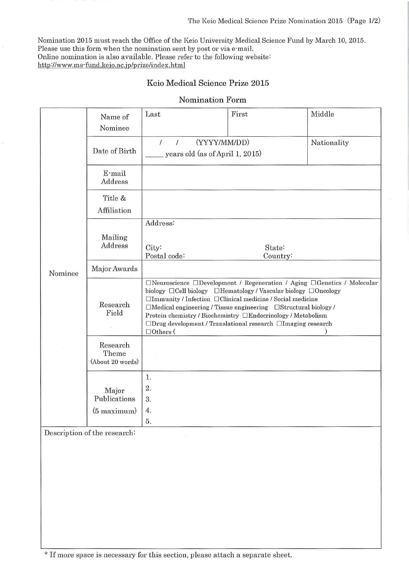Nomination 2015 must reach the Office of the Keio University Medical Science Fund by March 10, 2015. Please use this form when the nomination sent by post or via e-mail. Online nomination is also available. Please refer to the following website: http://www.ms-fund.keio.ac.jp/prize/index.html

#### Keio Medical Science Prize 2015

| Nominee | Name of<br>Nominee                        | Last                                                                                                                                                                                                                                                                                                                                                                                                                                                           | First              | Middle      |  |
|---------|-------------------------------------------|----------------------------------------------------------------------------------------------------------------------------------------------------------------------------------------------------------------------------------------------------------------------------------------------------------------------------------------------------------------------------------------------------------------------------------------------------------------|--------------------|-------------|--|
|         | Date of Birth                             | (YYYY/MM/DD)<br>$\sqrt{ }$<br>years old (as of April 1, 2015)                                                                                                                                                                                                                                                                                                                                                                                                  |                    | Nationality |  |
|         | E-mail<br>Address                         |                                                                                                                                                                                                                                                                                                                                                                                                                                                                |                    |             |  |
|         | Title &<br>Affiliation                    |                                                                                                                                                                                                                                                                                                                                                                                                                                                                |                    |             |  |
|         | Mailing<br>Address                        | Address:<br>City:<br>Postal code:                                                                                                                                                                                                                                                                                                                                                                                                                              | State:<br>Country: |             |  |
|         | Major Awards                              |                                                                                                                                                                                                                                                                                                                                                                                                                                                                |                    |             |  |
|         | Research<br>Field                         | $\Box$ Neuroscience $\Box$ Development / Regeneration / Aging $\Box$ Genetics / Molecular<br>biology □ Cell biology □ Hematology / Vascular biology □ Oncology<br>□Immunity / Infection □Clinical medicine / Social medicine<br>$\Box$ Medical engineering / Tissue engineering $\Box$ Structural biology /<br>Protein chemistry / Biochemistry □Endocrinology / Metabolism<br>□Drug development / Translational research □Imaging research<br>$\Box$ Others ( |                    |             |  |
|         | Research<br>Theme<br>(About 20 words)     |                                                                                                                                                                                                                                                                                                                                                                                                                                                                |                    |             |  |
|         | Major<br>Publications<br>$(5$ maximum $)$ | 1.<br>2.<br>3.<br>4.<br>5.                                                                                                                                                                                                                                                                                                                                                                                                                                     |                    |             |  |

#### Nomination Form

Description of the research:

\* If more space is necessary for this section, please attach a separate sheet.